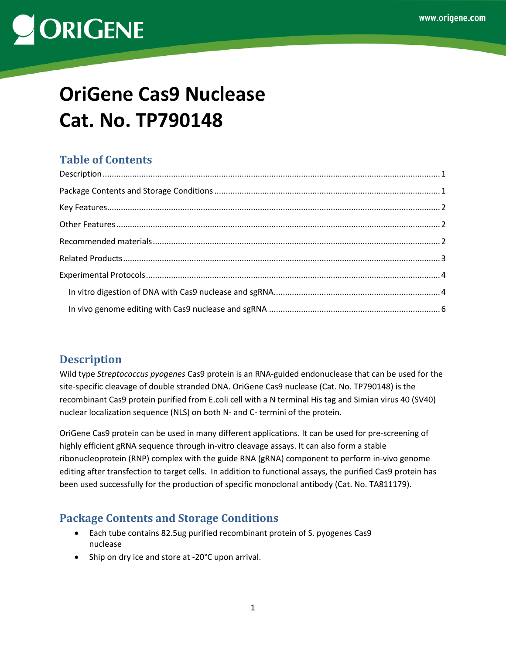# **OriGene Cas9 Nuclease Cat. No. TP790148**

# **Table of Contents**

# <span id="page-0-0"></span>**Description**

Wild type *Streptococcus pyogenes* Cas9 protein is an RNA-guided endonuclease that can be used for the site-specific cleavage of double stranded DNA. OriGene Cas9 nuclease (Cat. No. TP790148) is the recombinant Cas9 protein purified from E.coli cell with a N terminal His tag and Simian virus 40 (SV40) nuclear localization sequence (NLS) on both N- and C- termini of the protein.

OriGene Cas9 protein can be used in many different applications. It can be used for pre-screening of highly efficient gRNA sequence through in-vitro cleavage assays. It can also form a stable ribonucleoprotein (RNP) complex with the guide RNA (gRNA) component to perform in-vivo genome editing after transfection to target cells. In addition to functional assays, the purified Cas9 protein has been used successfully for the production of specific monoclonal antibody (Cat. No. TA811179).

# <span id="page-0-1"></span>**Package Contents and Storage Conditions**

- Each tube contains 82.5ug purified recombinant protein of S. pyogenes Cas9 nuclease
- Ship on dry ice and store at -20°C upon arrival.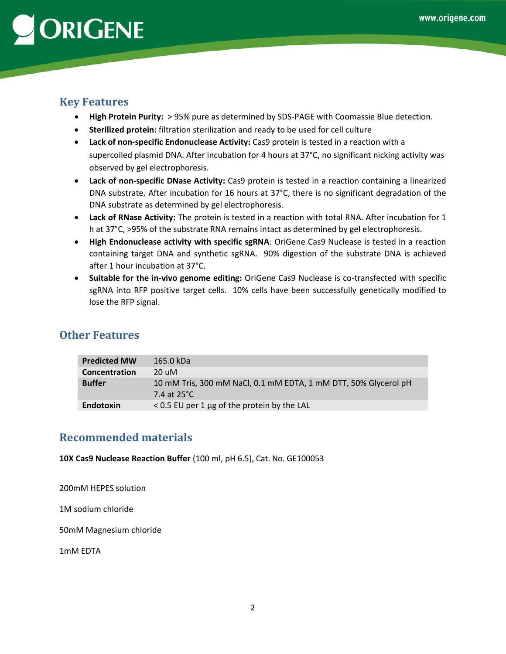# <span id="page-1-0"></span>**Key Features**

- **High Protein Purity:** > 95% pure as determined by SDS-PAGE with Coomassie Blue detection.
- **Sterilized protein:** filtration sterilization and ready to be used for cell culture
- **Lack of non-specific Endonuclease Activity:** Cas9 protein is tested in a reaction with a supercoiled plasmid DNA. After incubation for 4 hours at 37°C, no significant nicking activity was observed by gel electrophoresis.
- **Lack of non-specific DNase Activity:** Cas9 protein is tested in a reaction containing a linearized DNA substrate. After incubation for 16 hours at 37°C, there is no significant degradation of the DNA substrate as determined by gel electrophoresis.
- **Lack of RNase Activity:** The protein is tested in a reaction with total RNA. After incubation for 1 h at 37°C, >95% of the substrate RNA remains intact as determined by gel electrophoresis.
- **High Endonuclease activity with specific sgRNA**: OriGene Cas9 Nuclease is tested in a reaction containing target DNA and synthetic sgRNA. 90% digestion of the substrate DNA is achieved after 1 hour incubation at 37°C.
- **Suitable for the in-vivo genome editing:** OriGene Cas9 Nuclease is co-transfected with specific sgRNA into RFP positive target cells. 10% cells have been successfully genetically modified to lose the RFP signal.

## <span id="page-1-1"></span>**Other Features**

| <b>Predicted MW</b> | 165.0 kDa                                                                      |
|---------------------|--------------------------------------------------------------------------------|
| Concentration       | 20 uM                                                                          |
| <b>Buffer</b>       | 10 mM Tris, 300 mM NaCl, 0.1 mM EDTA, 1 mM DTT, 50% Glycerol pH<br>7.4 at 25°C |
| <b>Endotoxin</b>    | $<$ 0.5 EU per 1 $\mu$ g of the protein by the LAL                             |

# <span id="page-1-2"></span>**Recommended materials**

**10X Cas9 Nuclease Reaction Buffer** (100 ml, pH 6.5), Cat. No. GE100053

200mM HEPES solution

1M sodium chloride

50mM Magnesium chloride

1mM EDTA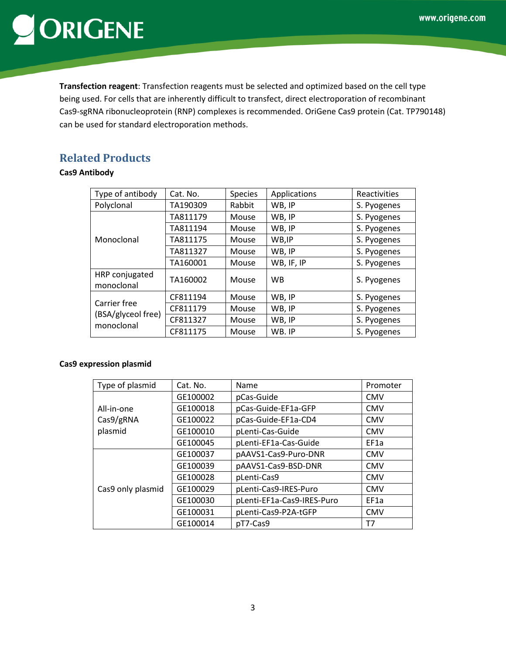**Transfection reagent**: Transfection reagents must be selected and optimized based on the cell type being used. For cells that are inherently difficult to transfect, direct electroporation of recombinant Cas9-sgRNA ribonucleoprotein (RNP) complexes is recommended. OriGene Cas9 protein (Cat. TP790148) can be used for standard electroporation methods.

# <span id="page-2-0"></span>**Related Products**

### **Cas9 Antibody**

| Type of antibody                                 | Cat. No. | <b>Species</b> | Applications | Reactivities |
|--------------------------------------------------|----------|----------------|--------------|--------------|
| Polyclonal                                       | TA190309 | Rabbit         | WB, IP       | S. Pyogenes  |
|                                                  | TA811179 | Mouse          | WB, IP       | S. Pyogenes  |
|                                                  | TA811194 | Mouse          | WB, IP       | S. Pyogenes  |
| Monoclonal                                       | TA811175 | Mouse          | WB, IP       | S. Pyogenes  |
|                                                  | TA811327 | Mouse          | WB, IP       | S. Pyogenes  |
|                                                  | TA160001 | Mouse          | WB, IF, IP   | S. Pyogenes  |
| HRP conjugated<br>monoclonal                     | TA160002 | Mouse          | <b>WB</b>    | S. Pyogenes  |
|                                                  | CF811194 | Mouse          | WB, IP       | S. Pyogenes  |
| Carrier free<br>(BSA/glyceol free)<br>monoclonal | CF811179 | Mouse          | WB, IP       | S. Pyogenes  |
|                                                  | CF811327 | Mouse          | WB, IP       | S. Pyogenes  |
|                                                  | CF811175 | Mouse          | WB. IP       | S. Pyogenes  |

### **Cas9 expression plasmid**

| Type of plasmid   | Cat. No. | Name                       | Promoter   |
|-------------------|----------|----------------------------|------------|
|                   | GE100002 | pCas-Guide                 | <b>CMV</b> |
| All-in-one        | GE100018 | pCas-Guide-EF1a-GFP        | <b>CMV</b> |
| Cas9/gRNA         | GE100022 | pCas-Guide-EF1a-CD4        | <b>CMV</b> |
| plasmid           | GE100010 | pLenti-Cas-Guide           | <b>CMV</b> |
|                   | GE100045 | pLenti-EF1a-Cas-Guide      | EF1a       |
|                   | GE100037 | pAAVS1-Cas9-Puro-DNR       | <b>CMV</b> |
|                   | GE100039 | pAAVS1-Cas9-BSD-DNR        | <b>CMV</b> |
|                   | GE100028 | pLenti-Cas9                | <b>CMV</b> |
| Cas9 only plasmid | GE100029 | pLenti-Cas9-IRES-Puro      | <b>CMV</b> |
|                   | GE100030 | pLenti-EF1a-Cas9-IRES-Puro | EF1a       |
|                   | GE100031 | pLenti-Cas9-P2A-tGFP       | <b>CMV</b> |
|                   | GE100014 | pT7-Cas9                   | T7         |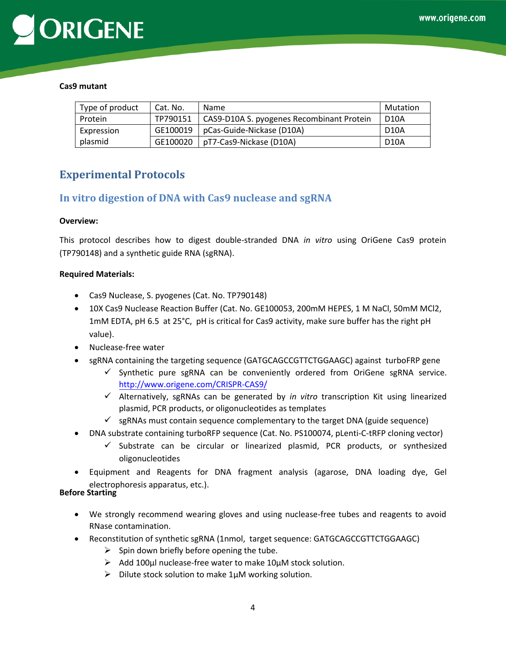

#### **Cas9 mutant**

| Type of product | Cat. No. | Name                                      | Mutation          |
|-----------------|----------|-------------------------------------------|-------------------|
| Protein         | TP790151 | CAS9-D10A S. pyogenes Recombinant Protein | <b>D10A</b>       |
| Expression      | GE100019 | pCas-Guide-Nickase (D10A)                 | D <sub>10</sub> A |
| plasmid         | GE100020 | pT7-Cas9-Nickase (D10A)                   | D <sub>10</sub> A |

## <span id="page-3-0"></span>**Experimental Protocols**

### <span id="page-3-1"></span>**In vitro digestion of DNA with Cas9 nuclease and sgRNA**

#### **Overview:**

This protocol describes how to digest double-stranded DNA *in vitro* using OriGene Cas9 protein (TP790148) and a synthetic guide RNA (sgRNA).

#### **Required Materials:**

- Cas9 Nuclease, S. pyogenes (Cat. No. TP790148)
- 10X Cas9 Nuclease Reaction Buffer (Cat. No. GE100053, 200mM HEPES, 1 M NaCl, 50mM MCl2, 1mM EDTA, pH 6.5 at 25°C, pH is critical for Cas9 activity, make sure buffer has the right pH value).
- Nuclease-free water
- sgRNA containing the targeting sequence (GATGCAGCCGTTCTGGAAGC) against turboFRP gene
	- $\checkmark$  [Synthetic pure sgRNA can be conven](http://www.origene.com/CRISPR-CAS9/)iently ordered from OriGene sgRNA service. http://www.origene.com/CRISPR-CAS9/
	- Alternatively, sgRNAs can be generated by *in vitro* transcription Kit using linearized plasmid, PCR products, or oligonucleotides as templates
	- $\checkmark$  sgRNAs must contain sequence complementary to the target DNA (guide sequence)
- DNA substrate containing turboRFP sequence (Cat. No. PS100074, pLenti-C-tRFP cloning vector)
	- $\checkmark$  Substrate can be circular or linearized plasmid, PCR products, or synthesized oligonucleotides
- Equipment and Reagents for DNA fragment analysis (agarose, DNA loading dye, Gel electrophoresis apparatus, etc.).

#### **Before Starting**

- We strongly recommend wearing gloves and using nuclease-free tubes and reagents to avoid RNase contamination.
- Reconstitution of synthetic sgRNA (1nmol, target sequence: GATGCAGCCGTTCTGGAAGC)
	- $\triangleright$  Spin down briefly before opening the tube.
	- $\triangleright$  Add 100µl nuclease-free water to make 10µM stock solution.
	- $\triangleright$  Dilute stock solution to make 1µM working solution.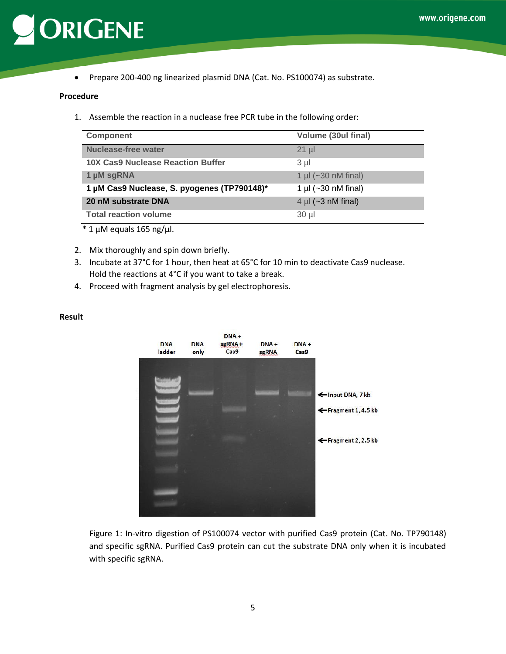

Prepare 200-400 ng linearized plasmid DNA (Cat. No. PS100074) as substrate.

#### **Procedure**

1. Assemble the reaction in a nuclease free PCR tube in the following order:

| <b>Component</b>                            | Volume (30ul final)           |
|---------------------------------------------|-------------------------------|
| Nuclease-free water                         | $21$ µl                       |
| 10X Cas9 Nuclease Reaction Buffer           | 3 µl                          |
| 1 µM sgRNA                                  | 1 µl $(-30 \text{ nM final})$ |
| 1 µM Cas9 Nuclease, S. pyogenes (TP790148)* | 1 µl ( $\sim$ 30 nM final)    |
| 20 nM substrate DNA                         | $4 \mu$ (~3 nM final)         |
| <b>Total reaction volume</b>                | 30 µl                         |

 $*$  1  $\mu$ M equals 165 ng/ $\mu$ l.

- 2. Mix thoroughly and spin down briefly.
- 3. Incubate at 37°C for 1 hour, then heat at 65°C for 10 min to deactivate Cas9 nuclease. Hold the reactions at 4°C if you want to take a break.
- 4. Proceed with fragment analysis by gel electrophoresis.

#### **Result**



Figure 1: In-vitro digestion of PS100074 vector with purified Cas9 protein (Cat. No. TP790148) and specific sgRNA. Purified Cas9 protein can cut the substrate DNA only when it is incubated with specific sgRNA.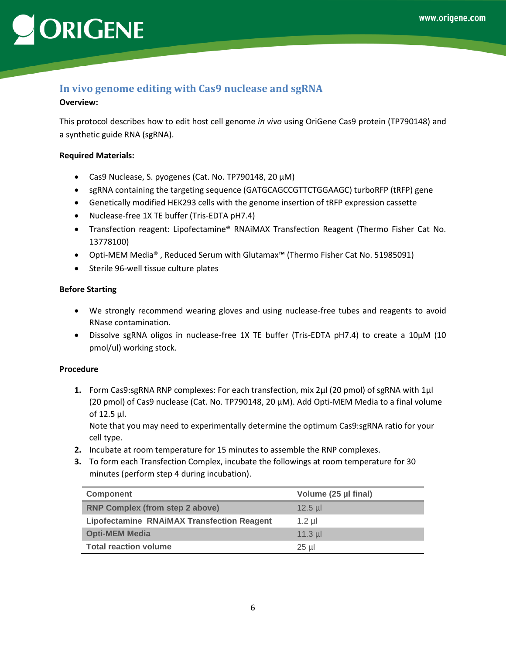# <span id="page-5-0"></span>**In vivo genome editing with Cas9 nuclease and sgRNA**

### **Overview:**

This protocol describes how to edit host cell genome *in vivo* using OriGene Cas9 protein (TP790148) and a synthetic guide RNA (sgRNA).

### **Required Materials:**

- Cas9 Nuclease, S. pyogenes (Cat. No. TP790148, 20 µM)
- sgRNA containing the targeting sequence (GATGCAGCCGTTCTGGAAGC) turboRFP (tRFP) gene
- Genetically modified HEK293 cells with the genome insertion of tRFP expression cassette
- Nuclease-free 1X TE buffer (Tris-EDTA pH7.4)
- Transfection reagent: Lipofectamine® RNAiMAX Transfection Reagent (Thermo Fisher Cat No. 13778100)
- Opti-MEM Media® , Reduced Serum with Glutamax™ (Thermo Fisher Cat No. 51985091)
- Sterile 96-well tissue culture plates

### **Before Starting**

- We strongly recommend wearing gloves and using nuclease-free tubes and reagents to avoid RNase contamination.
- Dissolve sgRNA oligos in nuclease-free 1X TE buffer (Tris-EDTA pH7.4) to create a 10µM (10 pmol/ul) working stock.

### **Procedure**

**1.** Form Cas9:sgRNA RNP complexes: For each transfection, mix 2µl (20 pmol) of sgRNA with 1µl (20 pmol) of Cas9 nuclease (Cat. No. TP790148, 20 µM). Add Opti-MEM Media to a final volume of 12.5 µl.

Note that you may need to experimentally determine the optimum Cas9:sgRNA ratio for your cell type.

- **2.** Incubate at room temperature for 15 minutes to assemble the RNP complexes.
- **3.** To form each Transfection Complex, incubate the followings at room temperature for 30 minutes (perform step 4 during incubation).

| <b>Component</b>                                  | Volume (25 µl final) |
|---------------------------------------------------|----------------------|
| <b>RNP Complex (from step 2 above)</b>            | $12.5$ µl            |
| <b>Lipofectamine RNAiMAX Transfection Reagent</b> | $1.2$ ul             |
| <b>Opti-MEM Media</b>                             | $11.3$ µl            |
| <b>Total reaction volume</b>                      | $25$ µl              |